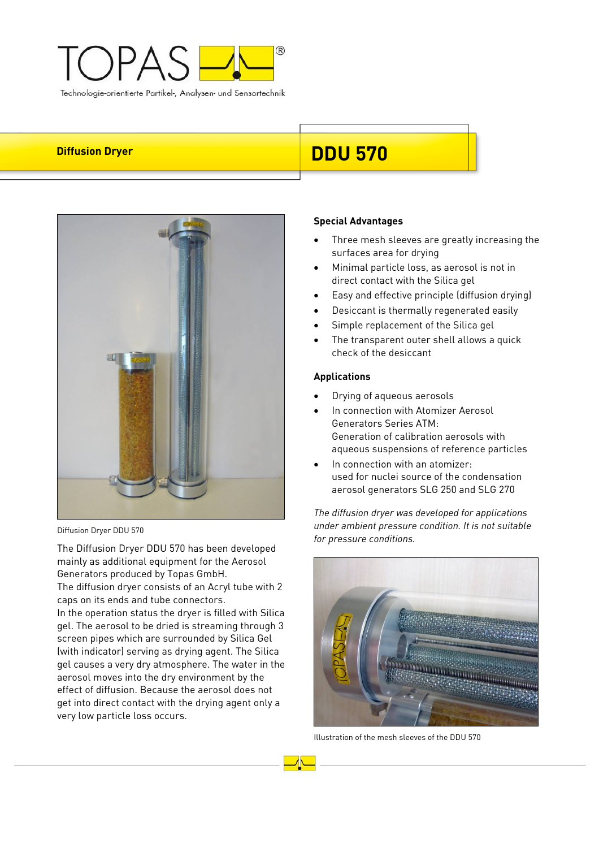



Diffusion Dryer DDU 570

The Diffusion Dryer DDU 570 has been developed mainly as additional equipment for the Aerosol Generators produced by Topas GmbH. The diffusion dryer consists of an Acryl tube with 2 caps on its ends and tube connectors. In the operation status the dryer is filled with Silica gel. The aerosol to be dried is streaming through 3 screen pipes which are surrounded by Silica Gel (with indicator) serving as drying agent. The Silica gel causes a very dry atmosphere. The water in the aerosol moves into the dry environment by the effect of diffusion. Because the aerosol does not get into direct contact with the drying agent only a very low particle loss occurs.

# **Diffusion Dryer DDU 570**

# **Special Advantages**

- Three mesh sleeves are greatly increasing the surfaces area for drying
- Minimal particle loss, as aerosol is not in direct contact with the Silica gel
- Easy and effective principle (diffusion drying)
- Desiccant is thermally regenerated easily
- Simple replacement of the Silica gel
- The transparent outer shell allows a quick check of the desiccant

## **Applications**

- Drying of aqueous aerosols
- In connection with Atomizer Aerosol Generators Series ATM: Generation of calibration aerosols with aqueous suspensions of reference particles
- In connection with an atomizer: used for nuclei source of the condensation aerosol generators SLG 250 and SLG 270

*The diffusion dryer was developed for applications under ambient pressure condition. It is not suitable for pressure conditions.* 



Illustration of the mesh sleeves of the DDU 570